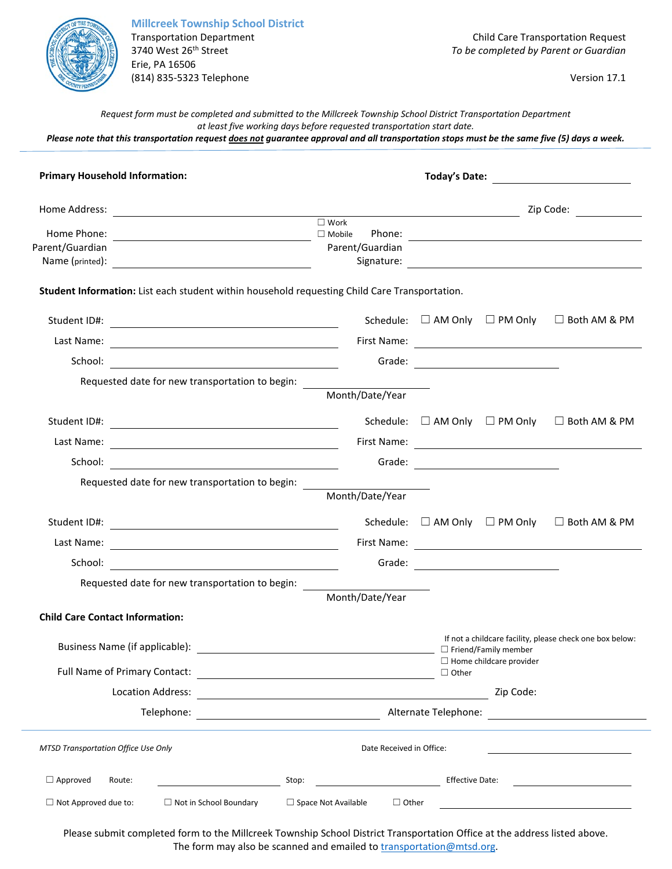

**Millcreek Township School District** Erie, PA 16506 (814) 835-5323 Telephone Version 17.1

Transportation Department Child Care Transportation Request<br>3740 West 26<sup>th</sup> Street Street Child Care Transportation Request<br>70 be completed by Parent or Guardian 3740 West 26th Street *To be completed by Parent or Guardian*

*Request form must be completed and submitted to the Millcreek Township School District Transportation Department at least five working days before requested transportation start date.*

*Please note that this transportation request does not guarantee approval and all transportation stops must be the same five (5) days a week.*

| <b>Primary Household Information:</b>                                                         |                                                               |                         |                                               |                                                             |
|-----------------------------------------------------------------------------------------------|---------------------------------------------------------------|-------------------------|-----------------------------------------------|-------------------------------------------------------------|
|                                                                                               |                                                               | Zip Code: _____________ |                                               |                                                             |
| Parent/Guardian                                                                               | $\square$ Work<br>Parent/Guardian                             |                         |                                               |                                                             |
| Student Information: List each student within household requesting Child Care Transportation. |                                                               |                         |                                               |                                                             |
|                                                                                               |                                                               |                         |                                               | Schedule: $\Box$ AM Only $\Box$ PM Only $\Box$ Both AM & PM |
|                                                                                               |                                                               |                         |                                               |                                                             |
|                                                                                               |                                                               |                         | Grade: <u>______________________</u>          |                                                             |
| Requested date for new transportation to begin: _____                                         | Month/Date/Year                                               |                         |                                               |                                                             |
|                                                                                               |                                                               |                         |                                               | Schedule: $\Box$ AM Only $\Box$ PM Only $\Box$ Both AM & PM |
|                                                                                               |                                                               |                         |                                               |                                                             |
|                                                                                               |                                                               |                         |                                               |                                                             |
| Requested date for new transportation to begin:                                               |                                                               |                         |                                               |                                                             |
|                                                                                               | Month/Date/Year                                               |                         |                                               |                                                             |
|                                                                                               |                                                               |                         | Schedule: $\square$ AM Only $\square$ PM Only | $\Box$ Both AM & PM                                         |
|                                                                                               |                                                               |                         |                                               |                                                             |
|                                                                                               |                                                               |                         |                                               |                                                             |
| Requested date for new transportation to begin:                                               |                                                               |                         |                                               |                                                             |
|                                                                                               | Month/Date/Year                                               |                         |                                               |                                                             |
| <b>Child Care Contact Information:</b>                                                        |                                                               |                         |                                               |                                                             |
|                                                                                               |                                                               |                         |                                               | If not a childcare facility, please check one box below:    |
| Full Name of Primary Contact:                                                                 | <u> 1989 - Andrea Station Barbara, amerikan personal (</u>    | $\Box$ Other            | $\Box$ Home childcare provider                |                                                             |
| Location Address:                                                                             | <u> 1989 - Johann Stein, mars an deutscher Stein († 1989)</u> |                         | Zip Code:                                     |                                                             |
| Telephone:                                                                                    |                                                               | Alternate Telephone:    |                                               |                                                             |
| <b>MTSD Transportation Office Use Only</b>                                                    | Date Received in Office:                                      |                         |                                               |                                                             |
| $\Box$ Approved<br>Route:<br>Stop:                                                            |                                                               | <b>Effective Date:</b>  |                                               |                                                             |
| $\Box$ Not Approved due to:<br>$\Box$ Not in School Boundary                                  | $\Box$ Space Not Available<br>$\Box$ Other                    |                         |                                               |                                                             |

Please submit completed form to the Millcreek Township School District Transportation Office at the address listed above. The form may also be scanned and emailed to **transportation@mtsd.org**.